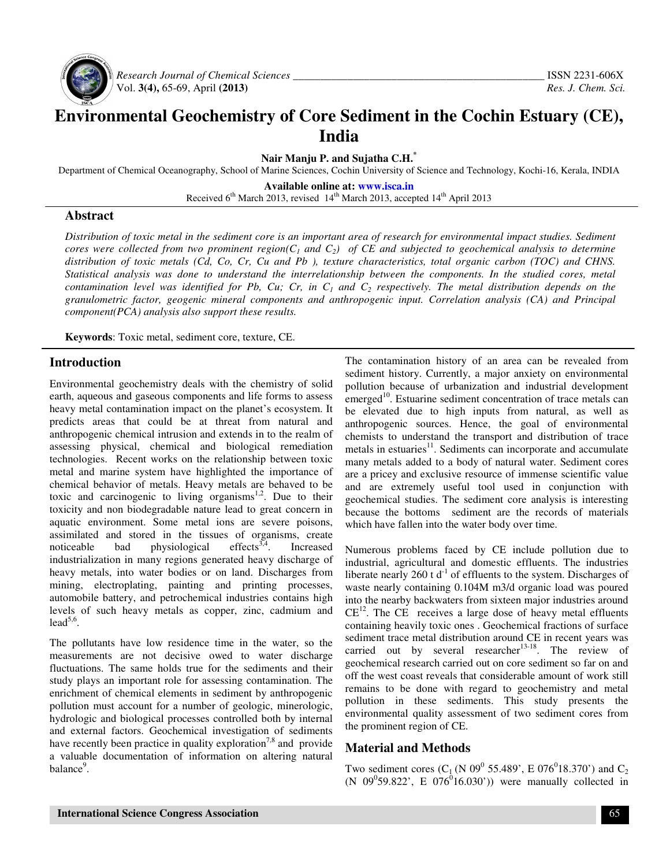

 *Research Journal of Chemical Sciences \_\_\_\_\_\_\_\_\_\_\_\_\_\_\_\_\_\_\_\_\_\_\_\_\_\_\_\_\_\_\_\_\_\_\_\_\_\_\_\_\_\_\_\_\_\_* ISSN 2231-606X Vol. **3(4),** 65-69, April **(2013)** *Res. J. Chem. Sci.*

# **Environmental Geochemistry of Core Sediment in the Cochin Estuary (CE), India**

**Nair Manju P. and Sujatha C.H.\***

Department of Chemical Oceanography, School of Marine Sciences, Cochin University of Science and Technology, Kochi-16, Kerala, INDIA

**Available online at: www.isca.in**  Received 6<sup>th</sup> March 2013, revised 14<sup>th</sup> March 2013, accepted 14<sup>th</sup> April 2013

### **Abstract**

*Distribution of toxic metal in the sediment core is an important area of research for environmental impact studies. Sediment cores were collected from two prominent region(* $C<sub>1</sub>$  *and*  $C<sub>2</sub>$ *) of CE and subjected to geochemical analysis to determine distribution of toxic metals (Cd, Co, Cr, Cu and Pb ), texture characteristics, total organic carbon (TOC) and CHNS. Statistical analysis was done to understand the interrelationship between the components. In the studied cores, metal contamination level was identified for Pb, Cu; Cr, in C1 and C2 respectively. The metal distribution depends on the granulometric factor, geogenic mineral components and anthropogenic input. Correlation analysis (CA) and Principal component(PCA) analysis also support these results.*

**Keywords**: Toxic metal, sediment core, texture, CE.

## **Introduction**

Environmental geochemistry deals with the chemistry of solid earth, aqueous and gaseous components and life forms to assess heavy metal contamination impact on the planet's ecosystem. It predicts areas that could be at threat from natural and anthropogenic chemical intrusion and extends in to the realm of assessing physical, chemical and biological remediation technologies. Recent works on the relationship between toxic metal and marine system have highlighted the importance of chemical behavior of metals. Heavy metals are behaved to be toxic and carcinogenic to living organisms<sup>1,2</sup>. Due to their toxicity and non biodegradable nature lead to great concern in aquatic environment. Some metal ions are severe poisons, assimilated and stored in the tissues of organisms, create noticeable bad physiological effects<sup>3,4</sup>. Increased industrialization in many regions generated heavy discharge of heavy metals, into water bodies or on land. Discharges from mining, electroplating, painting and printing processes, automobile battery, and petrochemical industries contains high levels of such heavy metals as copper, zinc, cadmium and  $lead^{5,6}$ .

The pollutants have low residence time in the water, so the measurements are not decisive owed to water discharge fluctuations. The same holds true for the sediments and their study plays an important role for assessing contamination. The enrichment of chemical elements in sediment by anthropogenic pollution must account for a number of geologic, minerologic, hydrologic and biological processes controlled both by internal and external factors. Geochemical investigation of sediments have recently been practice in quality exploration<sup>7,8</sup> and provide a valuable documentation of information on altering natural balance<sup>9</sup>.

The contamination history of an area can be revealed from sediment history. Currently, a major anxiety on environmental pollution because of urbanization and industrial development emerged $10$ . Estuarine sediment concentration of trace metals can be elevated due to high inputs from natural, as well as anthropogenic sources. Hence, the goal of environmental chemists to understand the transport and distribution of trace metals in estuaries<sup>11</sup>. Sediments can incorporate and accumulate many metals added to a body of natural water. Sediment cores are a pricey and exclusive resource of immense scientific value and are extremely useful tool used in conjunction with geochemical studies. The sediment core analysis is interesting because the bottoms sediment are the records of materials which have fallen into the water body over time.

Numerous problems faced by CE include pollution due to industrial, agricultural and domestic effluents. The industries liberate nearly 260 t  $d^{-1}$  of effluents to the system. Discharges of waste nearly containing 0.104M m3/d organic load was poured into the nearby backwaters from sixteen major industries around  $CE<sup>12</sup>$ . The CE receives a large dose of heavy metal effluents containing heavily toxic ones . Geochemical fractions of surface sediment trace metal distribution around CE in recent years was carried out by several researcher<sup>13-18</sup>. The review of geochemical research carried out on core sediment so far on and off the west coast reveals that considerable amount of work still remains to be done with regard to geochemistry and metal pollution in these sediments. This study presents the environmental quality assessment of two sediment cores from the prominent region of CE.

## **Material and Methods**

Two sediment cores (C<sub>1</sub> (N 09<sup>0</sup> 55.489', E 076<sup>0</sup>18.370') and C<sub>2</sub>  $(N \ 09^{0}59.822', E \ 076^{0}16.030')$  were manually collected in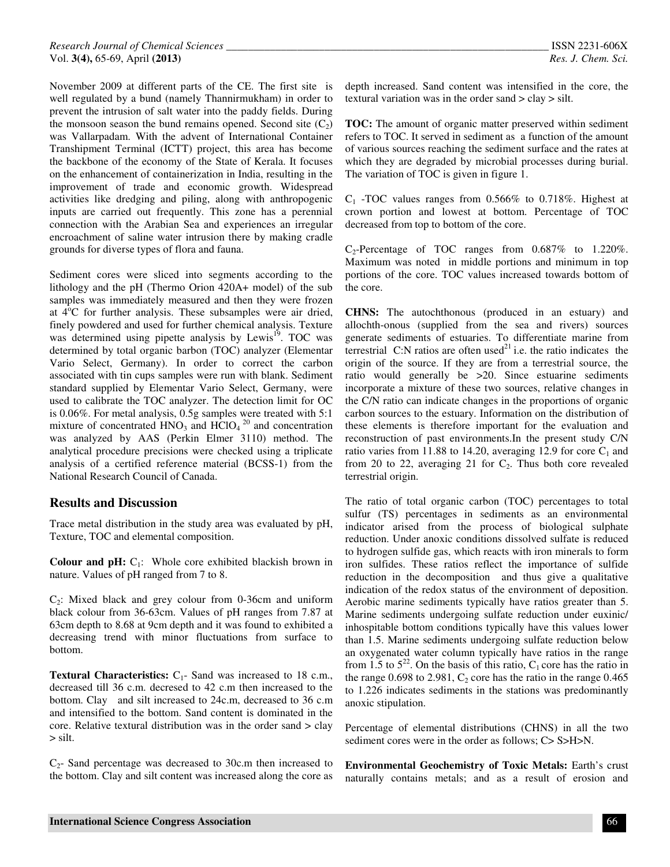November 2009 at different parts of the CE. The first site is well regulated by a bund (namely Thannirmukham) in order to prevent the intrusion of salt water into the paddy fields. During the monsoon season the bund remains opened. Second site  $(C_2)$ was Vallarpadam. With the advent of International Container Transhipment Terminal (ICTT) project, this area has become the backbone of the economy of the State of Kerala. It focuses on the enhancement of containerization in India, resulting in the improvement of trade and economic growth. Widespread activities like dredging and piling, along with anthropogenic inputs are carried out frequently. This zone has a perennial connection with the Arabian Sea and experiences an irregular encroachment of saline water intrusion there by making cradle grounds for diverse types of flora and fauna.

Sediment cores were sliced into segments according to the lithology and the pH (Thermo Orion 420A+ model) of the sub samples was immediately measured and then they were frozen at  $4^{\circ}$ C for further analysis. These subsamples were air dried, finely powdered and used for further chemical analysis. Texture was determined using pipette analysis by Lewis<sup>19</sup>. TOC was determined by total organic barbon (TOC) analyzer (Elementar Vario Select, Germany). In order to correct the carbon associated with tin cups samples were run with blank. Sediment standard supplied by Elementar Vario Select, Germany, were used to calibrate the TOC analyzer. The detection limit for OC is 0.06%. For metal analysis, 0.5g samples were treated with 5:1 mixture of concentrated  $HNO<sub>3</sub>$  and  $HClO<sub>4</sub><sup>20</sup>$  and concentration was analyzed by AAS (Perkin Elmer 3110) method. The analytical procedure precisions were checked using a triplicate analysis of a certified reference material (BCSS-1) from the National Research Council of Canada.

#### **Results and Discussion**

Trace metal distribution in the study area was evaluated by pH, Texture, TOC and elemental composition.

**Colour and pH:** C<sub>1</sub>: Whole core exhibited blackish brown in nature. Values of pH ranged from 7 to 8.

 $C_2$ : Mixed black and grey colour from 0-36cm and uniform black colour from 36-63cm. Values of pH ranges from 7.87 at 63cm depth to 8.68 at 9cm depth and it was found to exhibited a decreasing trend with minor fluctuations from surface to bottom.

**Textural Characteristics:** C<sub>1</sub>- Sand was increased to 18 c.m., decreased till 36 c.m. decresed to 42 c.m then increased to the bottom. Clay and silt increased to 24c.m, decreased to 36 c.m and intensified to the bottom. Sand content is dominated in the core. Relative textural distribution was in the order sand > clay > silt.

 $C<sub>2</sub>$ - Sand percentage was decreased to 30c.m then increased to the bottom. Clay and silt content was increased along the core as

depth increased. Sand content was intensified in the core, the textural variation was in the order sand > clay > silt.

**TOC:** The amount of organic matter preserved within sediment refers to TOC. It served in sediment as a function of the amount of various sources reaching the sediment surface and the rates at which they are degraded by microbial processes during burial. The variation of TOC is given in figure 1.

 $C_1$  -TOC values ranges from 0.566% to 0.718%. Highest at crown portion and lowest at bottom. Percentage of TOC decreased from top to bottom of the core.

 $C_2$ -Percentage of TOC ranges from 0.687% to 1.220%. Maximum was noted in middle portions and minimum in top portions of the core. TOC values increased towards bottom of the core.

**CHNS:** The autochthonous (produced in an estuary) and allochth-onous (supplied from the sea and rivers) sources generate sediments of estuaries. To differentiate marine from terrestrial  $C:N$  ratios are often used<sup>21</sup> i.e. the ratio indicates the origin of the source. If they are from a terrestrial source, the ratio would generally be >20. Since estuarine sediments incorporate a mixture of these two sources, relative changes in the C/N ratio can indicate changes in the proportions of organic carbon sources to the estuary. Information on the distribution of these elements is therefore important for the evaluation and reconstruction of past environments.In the present study C/N ratio varies from 11.88 to 14.20, averaging 12.9 for core  $C_1$  and from 20 to 22, averaging 21 for  $C_2$ . Thus both core revealed terrestrial origin.

The ratio of total organic carbon (TOC) percentages to total sulfur (TS) percentages in sediments as an environmental indicator arised from the process of biological sulphate reduction. Under anoxic conditions dissolved sulfate is reduced to hydrogen sulfide gas, which reacts with iron minerals to form iron sulfides. These ratios reflect the importance of sulfide reduction in the decomposition and thus give a qualitative indication of the redox status of the environment of deposition. Aerobic marine sediments typically have ratios greater than 5. Marine sediments undergoing sulfate reduction under euxinic/ inhospitable bottom conditions typically have this values lower than 1.5. Marine sediments undergoing sulfate reduction below an oxygenated water column typically have ratios in the range from 1.5 to  $5^{22}$ . On the basis of this ratio, C<sub>1</sub> core has the ratio in the range  $0.698$  to  $2.981$ ,  $C_2$  core has the ratio in the range  $0.465$ to 1.226 indicates sediments in the stations was predominantly anoxic stipulation.

Percentage of elemental distributions (CHNS) in all the two sediment cores were in the order as follows;  $C > S > H > N$ .

**Environmental Geochemistry of Toxic Metals:** Earth's crust naturally contains metals; and as a result of erosion and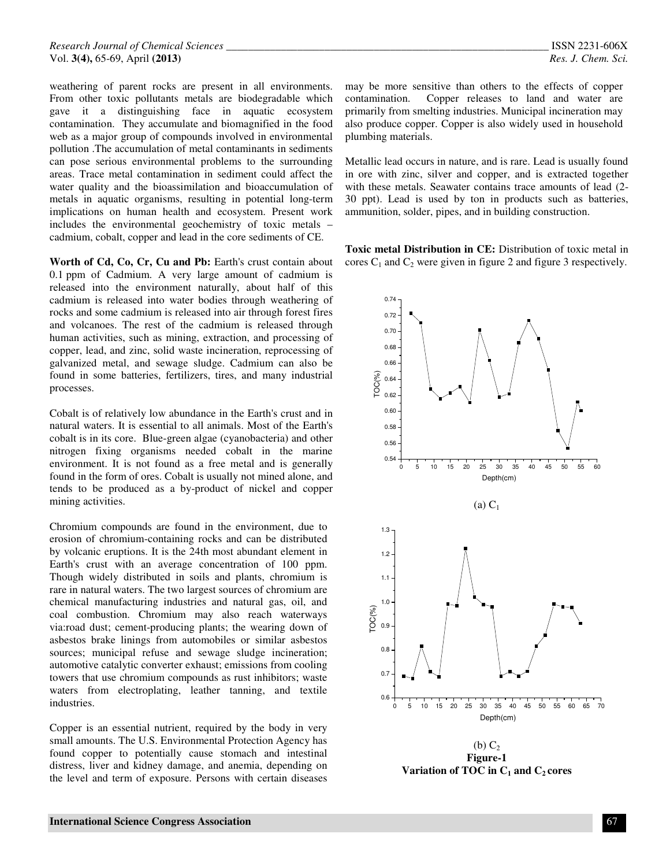weathering of parent rocks are present in all environments. From other toxic pollutants metals are biodegradable which gave it a distinguishing face in aquatic ecosystem contamination. They accumulate and biomagnified in the food web as a major group of compounds involved in environmental pollution .The accumulation of metal contaminants in sediments can pose serious environmental problems to the surrounding areas. Trace metal contamination in sediment could affect the water quality and the bioassimilation and bioaccumulation of metals in aquatic organisms, resulting in potential long-term implications on human health and ecosystem. Present work includes the environmental geochemistry of toxic metals – cadmium, cobalt, copper and lead in the core sediments of CE.

Worth of Cd, Co, Cr, Cu and Pb: Earth's crust contain about 0.1 ppm of Cadmium. A very large amount of cadmium is released into the environment naturally, about half of this cadmium is released into water bodies through weathering of rocks and some cadmium is released into air through forest fires and volcanoes. The rest of the cadmium is released through human activities, such as mining, extraction, and processing of copper, lead, and zinc, solid waste incineration, reprocessing of galvanized metal, and sewage sludge. Cadmium can also be found in some batteries, fertilizers, tires, and many industrial processes.

Cobalt is of relatively low abundance in the Earth's crust and in natural waters. It is essential to all animals. Most of the Earth's cobalt is in its core. Blue-green algae (cyanobacteria) and other nitrogen fixing organisms needed cobalt in the marine environment. It is not found as a free metal and is generally found in the form of ores. Cobalt is usually not mined alone, and tends to be produced as a by-product of nickel and copper mining activities.

Chromium compounds are found in the environment, due to erosion of chromium-containing rocks and can be distributed by volcanic eruptions. It is the 24th most abundant element in Earth's crust with an average concentration of 100 ppm. Though widely distributed in soils and plants, chromium is rare in natural waters. The two largest sources of chromium are chemical manufacturing industries and natural gas, oil, and coal combustion. Chromium may also reach waterways via:road dust; cement-producing plants; the wearing down of asbestos brake linings from automobiles or similar asbestos sources; municipal refuse and sewage sludge incineration; automotive catalytic converter exhaust; emissions from cooling towers that use chromium compounds as rust inhibitors; waste waters from electroplating, leather tanning, and textile industries.

Copper is an essential nutrient, required by the body in very small amounts. The U.S. Environmental Protection Agency has found copper to potentially cause stomach and intestinal distress, liver and kidney damage, and anemia, depending on the level and term of exposure. Persons with certain diseases

may be more sensitive than others to the effects of copper contamination. Copper releases to land and water are primarily from smelting industries. Municipal incineration may also produce copper. Copper is also widely used in household plumbing materials.

Metallic lead occurs in nature, and is rare. Lead is usually found in ore with zinc, silver and copper, and is extracted together with these metals. Seawater contains trace amounts of lead (2- 30 ppt). Lead is used by ton in products such as batteries, ammunition, solder, pipes, and in building construction.

**Toxic metal Distribution in CE:** Distribution of toxic metal in cores  $C_1$  and  $C_2$  were given in figure 2 and figure 3 respectively.



 $(b)$   $C<sub>2</sub>$ **Figure-1 Variation of TOC in**  $C_1$  **and**  $C_2$  **cores**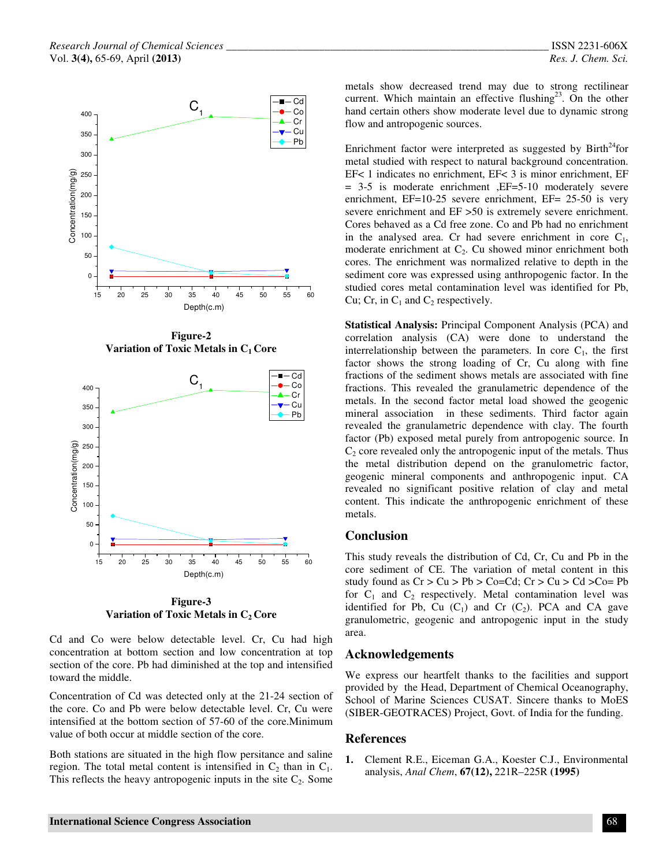

**Figure-2 Variation of Toxic Metals in C1 Core** 



**Figure-3 Variation of Toxic Metals in C2 Core** 

Cd and Co were below detectable level. Cr, Cu had high concentration at bottom section and low concentration at top section of the core. Pb had diminished at the top and intensified toward the middle.

Concentration of Cd was detected only at the 21-24 section of the core. Co and Pb were below detectable level. Cr, Cu were intensified at the bottom section of 57-60 of the core.Minimum value of both occur at middle section of the core.

Both stations are situated in the high flow persitance and saline region. The total metal content is intensified in  $C_2$  than in  $C_1$ . This reflects the heavy antropogenic inputs in the site  $C_2$ . Some

metals show decreased trend may due to strong rectilinear current. Which maintain an effective flushing<sup>23</sup>. On the other hand certain others show moderate level due to dynamic strong flow and antropogenic sources.

Enrichment factor were interpreted as suggested by  $Birth^{24}$  for metal studied with respect to natural background concentration. EF< 1 indicates no enrichment, EF< 3 is minor enrichment, EF = 3-5 is moderate enrichment ,EF=5-10 moderately severe enrichment, EF=10-25 severe enrichment, EF= 25-50 is very severe enrichment and EF >50 is extremely severe enrichment. Cores behaved as a Cd free zone. Co and Pb had no enrichment in the analysed area. Cr had severe enrichment in core  $C_1$ , moderate enrichment at  $C_2$ . Cu showed minor enrichment both cores. The enrichment was normalized relative to depth in the sediment core was expressed using anthropogenic factor. In the studied cores metal contamination level was identified for Pb, Cu; Cr, in  $C_1$  and  $C_2$  respectively.

**Statistical Analysis:** Principal Component Analysis (PCA) and correlation analysis (CA) were done to understand the interrelationship between the parameters. In core  $C_1$ , the first factor shows the strong loading of Cr, Cu along with fine fractions of the sediment shows metals are associated with fine fractions. This revealed the granulametric dependence of the metals. In the second factor metal load showed the geogenic mineral association in these sediments. Third factor again revealed the granulametric dependence with clay. The fourth factor (Pb) exposed metal purely from antropogenic source. In  $C<sub>2</sub>$  core revealed only the antropogenic input of the metals. Thus the metal distribution depend on the granulometric factor, geogenic mineral components and anthropogenic input. CA revealed no significant positive relation of clay and metal content. This indicate the anthropogenic enrichment of these metals.

#### **Conclusion**

This study reveals the distribution of Cd, Cr, Cu and Pb in the core sediment of CE. The variation of metal content in this study found as  $Cr > Cu > Pb > Co = Cd$ ;  $Cr > Cu > Cd > Co = Pb$ for  $C_1$  and  $C_2$  respectively. Metal contamination level was identified for Pb, Cu  $(C_1)$  and Cr  $(C_2)$ . PCA and CA gave granulometric, geogenic and antropogenic input in the study area.

#### **Acknowledgements**

We express our heartfelt thanks to the facilities and support provided by the Head, Department of Chemical Oceanography, School of Marine Sciences CUSAT. Sincere thanks to MoES (SIBER-GEOTRACES) Project, Govt. of India for the funding.

#### **References**

**1.** Clement R.E., Eiceman G.A., Koester C.J., Environmental analysis, *Anal Chem*, **67(12),** 221R–225R **(1995)**